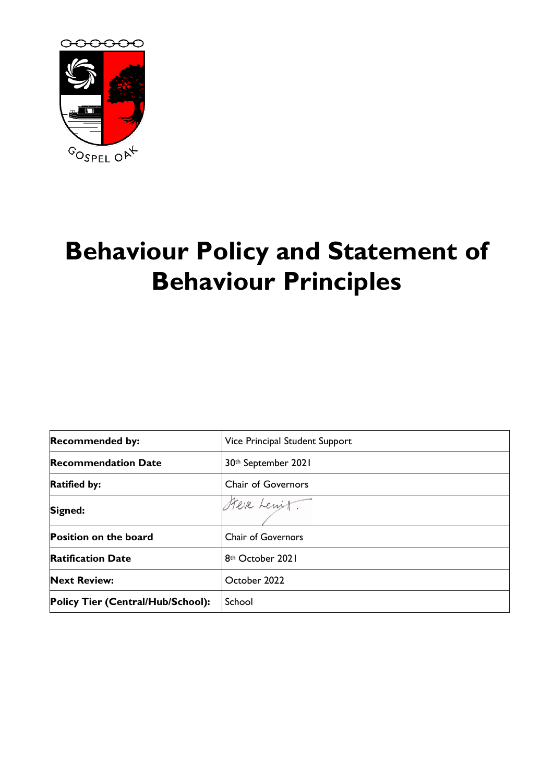

# **Behaviour Policy and Statement of Behaviour Principles**

| <b>Recommended by:</b>            | Vice Principal Student Support |  |
|-----------------------------------|--------------------------------|--|
| <b>Recommendation Date</b>        | 30th September 2021            |  |
| <b>Ratified by:</b>               | <b>Chair of Governors</b>      |  |
| Signed:                           | Steve Lewit.                   |  |
| <b>Position on the board</b>      | <b>Chair of Governors</b>      |  |
| <b>Ratification Date</b>          | 8 <sup>th</sup> October 2021   |  |
| <b>Next Review:</b>               | October 2022                   |  |
| Policy Tier (Central/Hub/School): | School                         |  |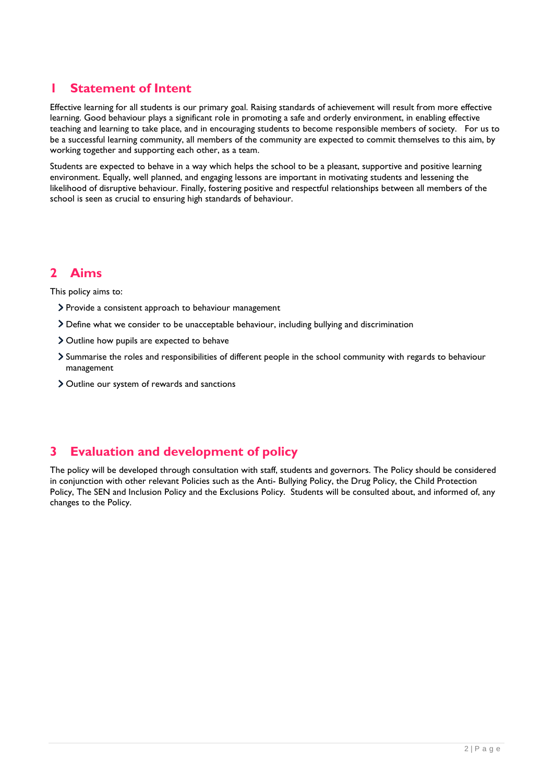# **1 Statement of Intent**

Effective learning for all students is our primary goal. Raising standards of achievement will result from more effective learning. Good behaviour plays a significant role in promoting a safe and orderly environment, in enabling effective teaching and learning to take place, and in encouraging students to become responsible members of society. For us to be a successful learning community, all members of the community are expected to commit themselves to this aim, by working together and supporting each other, as a team.

Students are expected to behave in a way which helps the school to be a pleasant, supportive and positive learning environment. Equally, well planned, and engaging lessons are important in motivating students and lessening the likelihood of disruptive behaviour. Finally, fostering positive and respectful relationships between all members of the school is seen as crucial to ensuring high standards of behaviour.

# **2 Aims**

This policy aims to:

- > Provide a consistent approach to behaviour management
- Define what we consider to be unacceptable behaviour, including bullying and discrimination
- Outline how pupils are expected to behave
- Summarise the roles and responsibilities of different people in the school community with regards to behaviour management
- > Outline our system of rewards and sanctions

# **3 Evaluation and development of policy**

The policy will be developed through consultation with staff, students and governors. The Policy should be considered in conjunction with other relevant Policies such as the Anti- Bullying Policy, the Drug Policy, the Child Protection Policy, The SEN and Inclusion Policy and the Exclusions Policy. Students will be consulted about, and informed of, any changes to the Policy.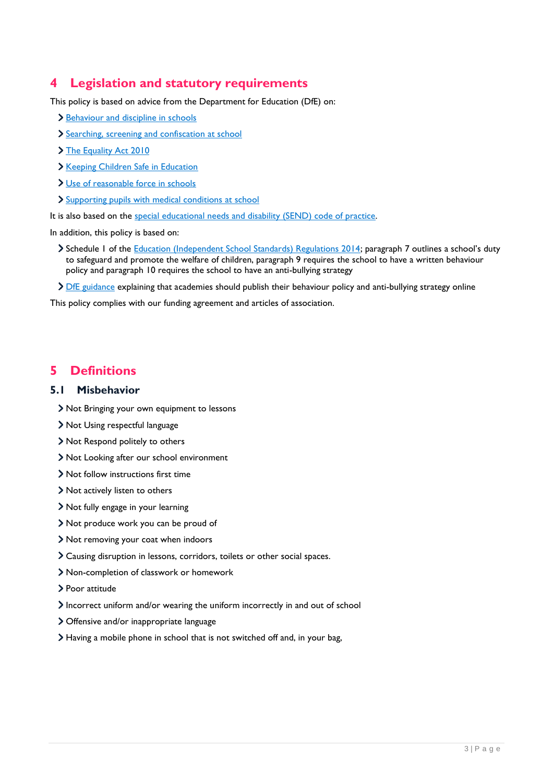# **4 Legislation and statutory requirements**

This policy is based on advice from the Department for Education (DfE) on:

- > [Behaviour and discipline in schools](https://www.gov.uk/government/publications/behaviour-and-discipline-in-schools)
- [Searching, screening and confiscation at school](https://www.gov.uk/government/publications/searching-screening-and-confiscation)
- > [The Equality Act 2010](https://www.gov.uk/government/publications/equality-act-2010-advice-for-schools)
- > [Keeping Children Safe in Education](https://www.gov.uk/government/publications/keeping-children-safe-in-education--2)
- [Use of reasonable force in schools](https://www.gov.uk/government/publications/use-of-reasonable-force-in-schools)
- > [Supporting pupils with medical conditions at school](https://www.gov.uk/government/publications/supporting-pupils-at-school-with-medical-conditions--3)

It is also based on the [special educational needs and disability \(SEND\)](https://www.gov.uk/government/publications/send-code-of-practice-0-to-25) code of practice.

In addition, this policy is based on:

- > Schedule 1 of the [Education \(Independent School Standards\) Regulations 2014;](http://www.legislation.gov.uk/uksi/2014/3283/schedule/made) paragraph 7 outlines a school's duty to safeguard and promote the welfare of children, paragraph 9 requires the school to have a written behaviour policy and paragraph 10 requires the school to have an anti-bullying strategy
- > [DfE guidance](https://www.gov.uk/guidance/what-academies-free-schools-and-colleges-should-publish-online#behaviour-policy) explaining that academies should publish their behaviour policy and anti-bullying strategy online

This policy complies with our funding agreement and articles of association.

#### **5 Definitions**

#### **5.1 Misbehavior**

- Not Bringing your own equipment to lessons
- > Not Using respectful language
- Not Respond politely to others
- Not Looking after our school environment
- Not follow instructions first time
- Not actively listen to others
- Not fully engage in your learning
- Not produce work you can be proud of
- Not removing your coat when indoors
- Causing disruption in lessons, corridors, toilets or other social spaces.
- Non-completion of classwork or homework
- Poor attitude
- Incorrect uniform and/or wearing the uniform incorrectly in and out of school
- Offensive and/or inappropriate language
- Having a mobile phone in school that is not switched off and, in your bag,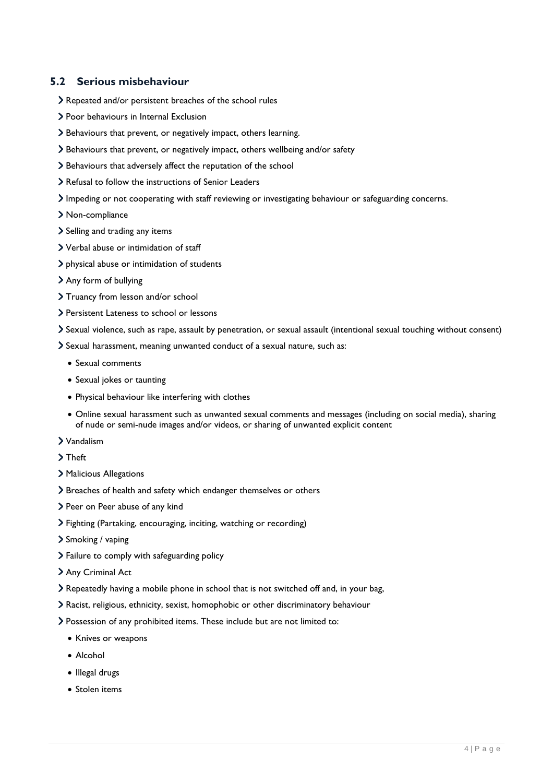#### **5.2 Serious misbehaviour**

- Repeated and/or persistent breaches of the school rules
- > Poor behaviours in Internal Exclusion
- Behaviours that prevent, or negatively impact, others learning.
- Behaviours that prevent, or negatively impact, others wellbeing and/or safety
- Behaviours that adversely affect the reputation of the school
- > Refusal to follow the instructions of Senior Leaders
- Impeding or not cooperating with staff reviewing or investigating behaviour or safeguarding concerns.
- Non-compliance
- Selling and trading any items
- Verbal abuse or intimidation of staff
- > physical abuse or intimidation of students
- Any form of bullying
- > Truancy from lesson and/or school
- Persistent Lateness to school or lessons
- Sexual violence, such as rape, assault by penetration, or sexual assault (intentional sexual touching without consent)
- Sexual harassment, meaning unwanted conduct of a sexual nature, such as:
	- Sexual comments
	- Sexual jokes or taunting
	- Physical behaviour like interfering with clothes
	- Online sexual harassment such as unwanted sexual comments and messages (including on social media), sharing of nude or semi-nude images and/or videos, or sharing of unwanted explicit content
- Vandalism
- > Theft
- Malicious Allegations
- Breaches of health and safety which endanger themselves or others
- > Peer on Peer abuse of any kind
- Fighting (Partaking, encouraging, inciting, watching or recording)
- > Smoking / vaping
- > Failure to comply with safeguarding policy
- > Any Criminal Act
- Repeatedly having a mobile phone in school that is not switched off and, in your bag,
- Racist, religious, ethnicity, sexist, homophobic or other discriminatory behaviour
- Possession of any prohibited items. These include but are not limited to:
	- Knives or weapons
	- Alcohol
	- Illegal drugs
	- Stolen items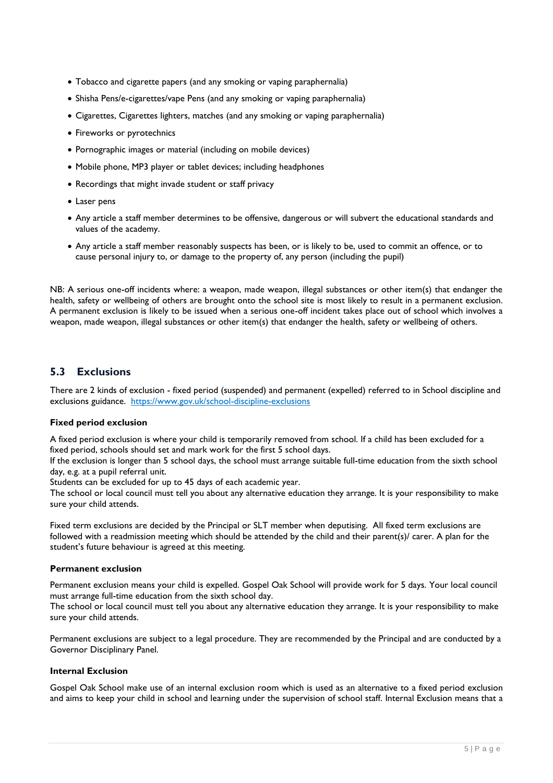- Tobacco and cigarette papers (and any smoking or vaping paraphernalia)
- Shisha Pens/e-cigarettes/vape Pens (and any smoking or vaping paraphernalia)
- Cigarettes, Cigarettes lighters, matches (and any smoking or vaping paraphernalia)
- Fireworks or pyrotechnics
- Pornographic images or material (including on mobile devices)
- Mobile phone, MP3 player or tablet devices; including headphones
- Recordings that might invade student or staff privacy
- Laser pens
- Any article a staff member determines to be offensive, dangerous or will subvert the educational standards and values of the academy.
- Any article a staff member reasonably suspects has been, or is likely to be, used to commit an offence, or to cause personal injury to, or damage to the property of, any person (including the pupil)

NB: A serious one-off incidents where: a weapon, made weapon, illegal substances or other item(s) that endanger the health, safety or wellbeing of others are brought onto the school site is most likely to result in a permanent exclusion. A permanent exclusion is likely to be issued when a serious one-off incident takes place out of school which involves a weapon, made weapon, illegal substances or other item(s) that endanger the health, safety or wellbeing of others.

#### **5.3 Exclusions**

There are 2 kinds of exclusion - fixed period (suspended) and permanent (expelled) referred to in School discipline and exclusions guidance. [https://www.gov.uk/school-discipline-exclusions](https://www.gov.uk/school-discipline-exclusions/s)

#### **Fixed period exclusion**

A fixed period exclusion is where your child is temporarily removed from school. If a child has been excluded for a fixed period, schools should set and mark work for the first 5 school days.

If the exclusion is longer than 5 school days, the school must arrange suitable full-time education from the sixth school day, e.g. at a pupil referral unit.

Students can be excluded for up to 45 days of each academic year.

The school or local council must tell you about any alternative education they arrange. It is your responsibility to make sure your child attends.

Fixed term exclusions are decided by the Principal or SLT member when deputising. All fixed term exclusions are followed with a readmission meeting which should be attended by the child and their parent(s)/ carer. A plan for the student's future behaviour is agreed at this meeting.

#### **Permanent exclusion**

Permanent exclusion means your child is expelled. Gospel Oak School will provide work for 5 days. Your local council must arrange full-time education from the sixth school day.

The school or local council must tell you about any alternative education they arrange. It is your responsibility to make sure your child attends.

Permanent exclusions are subject to a legal procedure. They are recommended by the Principal and are conducted by a Governor Disciplinary Panel.

#### **Internal Exclusion**

Gospel Oak School make use of an internal exclusion room which is used as an alternative to a fixed period exclusion and aims to keep your child in school and learning under the supervision of school staff. Internal Exclusion means that a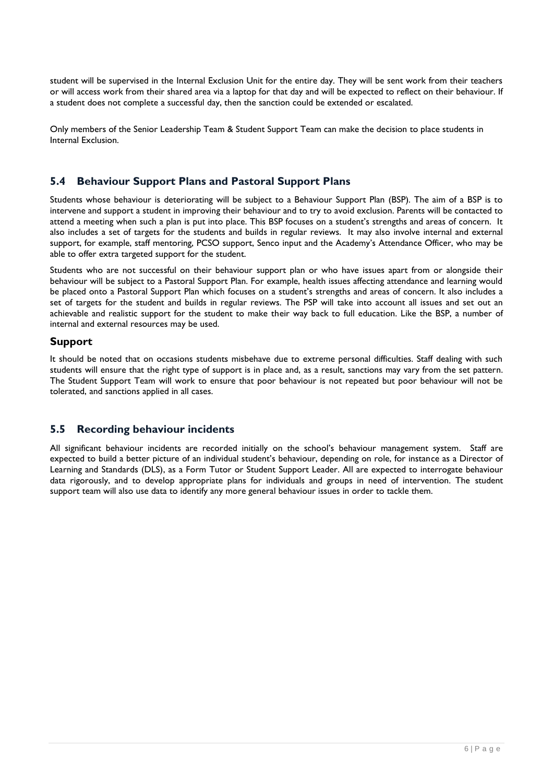student will be supervised in the Internal Exclusion Unit for the entire day. They will be sent work from their teachers or will access work from their shared area via a laptop for that day and will be expected to reflect on their behaviour. If a student does not complete a successful day, then the sanction could be extended or escalated.

Only members of the Senior Leadership Team & Student Support Team can make the decision to place students in Internal Exclusion.

#### **5.4 Behaviour Support Plans and Pastoral Support Plans**

Students whose behaviour is deteriorating will be subject to a Behaviour Support Plan (BSP). The aim of a BSP is to intervene and support a student in improving their behaviour and to try to avoid exclusion. Parents will be contacted to attend a meeting when such a plan is put into place. This BSP focuses on a student's strengths and areas of concern. It also includes a set of targets for the students and builds in regular reviews. It may also involve internal and external support, for example, staff mentoring, PCSO support, Senco input and the Academy's Attendance Officer, who may be able to offer extra targeted support for the student.

Students who are not successful on their behaviour support plan or who have issues apart from or alongside their behaviour will be subject to a Pastoral Support Plan. For example, health issues affecting attendance and learning would be placed onto a Pastoral Support Plan which focuses on a student's strengths and areas of concern. It also includes a set of targets for the student and builds in regular reviews. The PSP will take into account all issues and set out an achievable and realistic support for the student to make their way back to full education. Like the BSP, a number of internal and external resources may be used.

#### **Support**

It should be noted that on occasions students misbehave due to extreme personal difficulties. Staff dealing with such students will ensure that the right type of support is in place and, as a result, sanctions may vary from the set pattern. The Student Support Team will work to ensure that poor behaviour is not repeated but poor behaviour will not be tolerated, and sanctions applied in all cases.

#### **5.5 Recording behaviour incidents**

All significant behaviour incidents are recorded initially on the school's behaviour management system. Staff are expected to build a better picture of an individual student's behaviour, depending on role, for instance as a Director of Learning and Standards (DLS), as a Form Tutor or Student Support Leader. All are expected to interrogate behaviour data rigorously, and to develop appropriate plans for individuals and groups in need of intervention. The student support team will also use data to identify any more general behaviour issues in order to tackle them.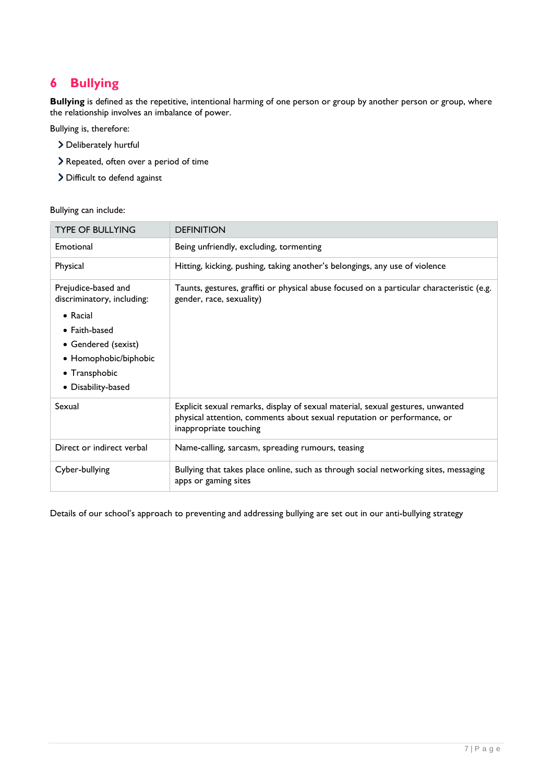# **6 Bullying**

**Bullying** is defined as the repetitive, intentional harming of one person or group by another person or group, where the relationship involves an imbalance of power.

Bullying is, therefore:

- Deliberately hurtful
- Repeated, often over a period of time
- > Difficult to defend against

Bullying can include:

| <b>TYPE OF BULLYING</b>                                                                                                                                                               | <b>DEFINITION</b>                                                                                                                                                                   |  |
|---------------------------------------------------------------------------------------------------------------------------------------------------------------------------------------|-------------------------------------------------------------------------------------------------------------------------------------------------------------------------------------|--|
| Emotional                                                                                                                                                                             | Being unfriendly, excluding, tormenting                                                                                                                                             |  |
| Physical                                                                                                                                                                              | Hitting, kicking, pushing, taking another's belongings, any use of violence                                                                                                         |  |
| Prejudice-based and<br>discriminatory, including:<br>$\bullet$ Racial<br>$\bullet$ Faith-based<br>• Gendered (sexist)<br>• Homophobic/biphobic<br>• Transphobic<br>• Disability-based | Taunts, gestures, graffiti or physical abuse focused on a particular characteristic (e.g.<br>gender, race, sexuality)                                                               |  |
| Sexual                                                                                                                                                                                | Explicit sexual remarks, display of sexual material, sexual gestures, unwanted<br>physical attention, comments about sexual reputation or performance, or<br>inappropriate touching |  |
| Direct or indirect verbal                                                                                                                                                             | Name-calling, sarcasm, spreading rumours, teasing                                                                                                                                   |  |
| Cyber-bullying                                                                                                                                                                        | Bullying that takes place online, such as through social networking sites, messaging<br>apps or gaming sites                                                                        |  |

Details of our school's approach to preventing and addressing bullying are set out in our anti-bullying strategy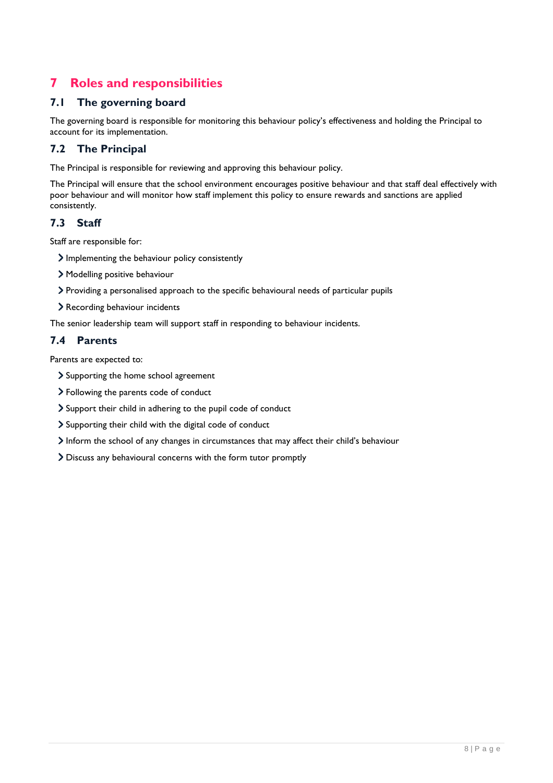# **7 Roles and responsibilities**

#### **7.1 The governing board**

The governing board is responsible for monitoring this behaviour policy's effectiveness and holding the Principal to account for its implementation.

### **7.2 The Principal**

The Principal is responsible for reviewing and approving this behaviour policy.

The Principal will ensure that the school environment encourages positive behaviour and that staff deal effectively with poor behaviour and will monitor how staff implement this policy to ensure rewards and sanctions are applied consistently.

#### **7.3 Staff**

Staff are responsible for:

- Implementing the behaviour policy consistently
- Modelling positive behaviour
- Providing a personalised approach to the specific behavioural needs of particular pupils
- Recording behaviour incidents

The senior leadership team will support staff in responding to behaviour incidents.

#### **7.4 Parents**

Parents are expected to:

- > Supporting the home school agreement
- Following the parents code of conduct
- Support their child in adhering to the pupil code of conduct
- Supporting their child with the digital code of conduct
- Inform the school of any changes in circumstances that may affect their child's behaviour
- Discuss any behavioural concerns with the form tutor promptly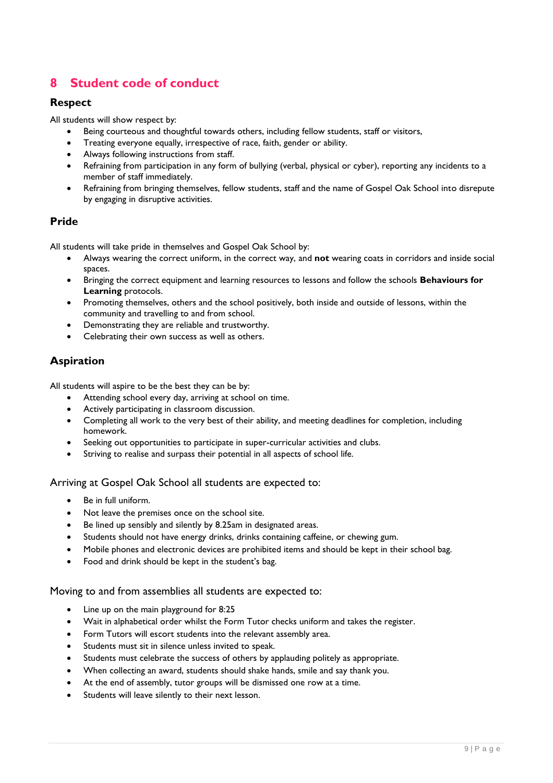# **8 Student code of conduct**

#### **Respect**

All students will show respect by:

- Being courteous and thoughtful towards others, including fellow students, staff or visitors,
- Treating everyone equally, irrespective of race, faith, gender or ability.
- Always following instructions from staff.
- Refraining from participation in any form of bullying (verbal, physical or cyber), reporting any incidents to a member of staff immediately.
- Refraining from bringing themselves, fellow students, staff and the name of Gospel Oak School into disrepute by engaging in disruptive activities.

#### **Pride**

All students will take pride in themselves and Gospel Oak School by:

- Always wearing the correct uniform, in the correct way, and **not** wearing coats in corridors and inside social spaces.
- Bringing the correct equipment and learning resources to lessons and follow the schools **Behaviours for Learning** protocols.
- Promoting themselves, others and the school positively, both inside and outside of lessons, within the community and travelling to and from school.
- Demonstrating they are reliable and trustworthy.
- Celebrating their own success as well as others.

#### **Aspiration**

All students will aspire to be the best they can be by:

- Attending school every day, arriving at school on time.
- Actively participating in classroom discussion.
- Completing all work to the very best of their ability, and meeting deadlines for completion, including homework.
- Seeking out opportunities to participate in super-curricular activities and clubs.
- Striving to realise and surpass their potential in all aspects of school life.

#### Arriving at Gospel Oak School all students are expected to:

- Be in full uniform.
- Not leave the premises once on the school site.
- Be lined up sensibly and silently by 8.25am in designated areas.
- Students should not have energy drinks, drinks containing caffeine, or chewing gum.
- Mobile phones and electronic devices are prohibited items and should be kept in their school bag.
- Food and drink should be kept in the student's bag.

#### Moving to and from assemblies all students are expected to:

- Line up on the main playground for 8:25
- Wait in alphabetical order whilst the Form Tutor checks uniform and takes the register.
- Form Tutors will escort students into the relevant assembly area.
- Students must sit in silence unless invited to speak.
- Students must celebrate the success of others by applauding politely as appropriate.
- When collecting an award, students should shake hands, smile and say thank you.
- At the end of assembly, tutor groups will be dismissed one row at a time.
- Students will leave silently to their next lesson.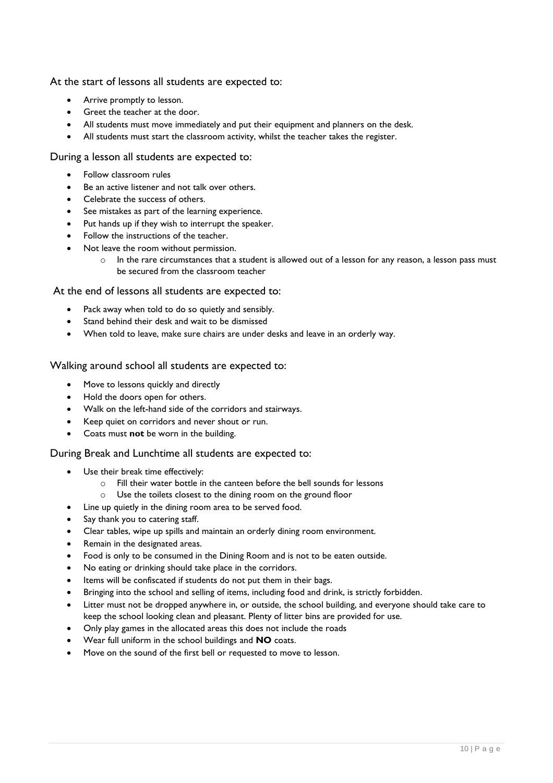At the start of lessons all students are expected to:

- Arrive promptly to lesson.
- Greet the teacher at the door.
- All students must move immediately and put their equipment and planners on the desk.
- All students must start the classroom activity, whilst the teacher takes the register.

#### During a lesson all students are expected to:

- Follow classroom rules
- Be an active listener and not talk over others.
- Celebrate the success of others.
- See mistakes as part of the learning experience.
- Put hands up if they wish to interrupt the speaker.
- Follow the instructions of the teacher.
- Not leave the room without permission.
	- $\circ$  In the rare circumstances that a student is allowed out of a lesson for any reason, a lesson pass must be secured from the classroom teacher

At the end of lessons all students are expected to:

- Pack away when told to do so quietly and sensibly.
- Stand behind their desk and wait to be dismissed
- When told to leave, make sure chairs are under desks and leave in an orderly way.

Walking around school all students are expected to:

- Move to lessons quickly and directly
- Hold the doors open for others.
- Walk on the left-hand side of the corridors and stairways.
- Keep quiet on corridors and never shout or run.
- Coats must **not** be worn in the building.

During Break and Lunchtime all students are expected to:

- Use their break time effectively:
	- o Fill their water bottle in the canteen before the bell sounds for lessons
	- o Use the toilets closest to the dining room on the ground floor
- Line up quietly in the dining room area to be served food.
- Say thank you to catering staff.
- Clear tables, wipe up spills and maintain an orderly dining room environment.
- Remain in the designated areas.
- Food is only to be consumed in the Dining Room and is not to be eaten outside.
- No eating or drinking should take place in the corridors.
- Items will be confiscated if students do not put them in their bags.
- Bringing into the school and selling of items, including food and drink, is strictly forbidden.
- Litter must not be dropped anywhere in, or outside, the school building, and everyone should take care to keep the school looking clean and pleasant. Plenty of litter bins are provided for use.
- Only play games in the allocated areas this does not include the roads
- Wear full uniform in the school buildings and **NO** coats.
- Move on the sound of the first bell or requested to move to lesson.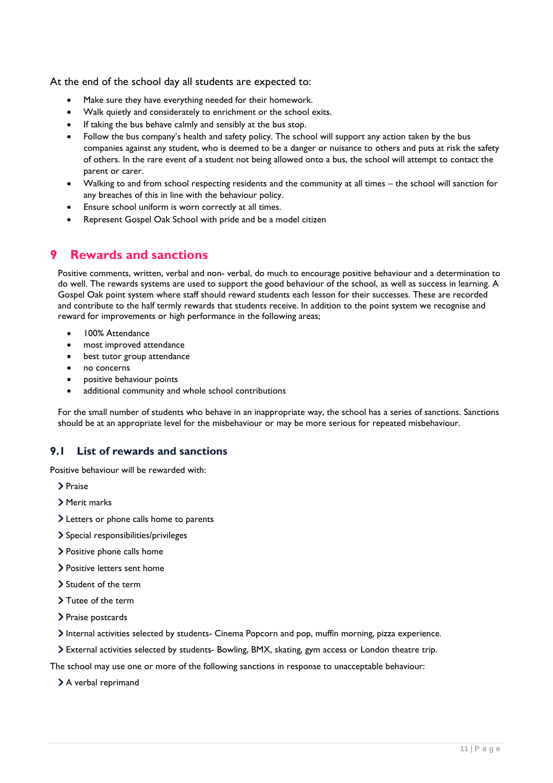At the end of the school day all students are expected to:

- Make sure they have everything needed for their homework.
- Walk quietly and considerately to enrichment or the school exits.
- If taking the bus behave calmly and sensibly at the bus stop.
- Follow the bus company's health and safety policy. The school will support any action taken by the bus companies against any student, who is deemed to be a danger or nuisance to others and puts at risk the safety of others. In the rare event of a student not being allowed onto a bus, the school will attempt to contact the parent or carer.
- Walking to and from school respecting residents and the community at all times the school will sanction for any breaches of this in line with the behaviour policy.
- Ensure school uniform is worn correctly at all times.
- Represent Gospel Oak School with pride and be a model citizen

# **9 Rewards and sanctions**

Positive comments, written, verbal and non- verbal, do much to encourage positive behaviour and a determination to do well. The rewards systems are used to support the good behaviour of the school, as well as success in learning. A Gospel Oak point system where staff should reward students each lesson for their successes. These are recorded and contribute to the half termly rewards that students receive. In addition to the point system we recognise and reward for improvements or high performance in the following areas;

- 100% Attendance
- most improved attendance
- best tutor group attendance
- no concerns
- positive behaviour points
- additional community and whole school contributions

For the small number of students who behave in an inappropriate way, the school has a series of sanctions. Sanctions should be at an appropriate level for the misbehaviour or may be more serious for repeated misbehaviour.

#### **9.1 List of rewards and sanctions**

Positive behaviour will be rewarded with:

> Praise

- Merit marks
- Letters or phone calls home to parents
- Special responsibilities/privileges
- > Positive phone calls home
- Positive letters sent home
- > Student of the term
- > Tutee of the term
- > Praise postcards
- Internal activities selected by students- Cinema Popcorn and pop, muffin morning, pizza experience.

External activities selected by students- Bowling, BMX, skating, gym access or London theatre trip.

The school may use one or more of the following sanctions in response to unacceptable behaviour:

> A verbal reprimand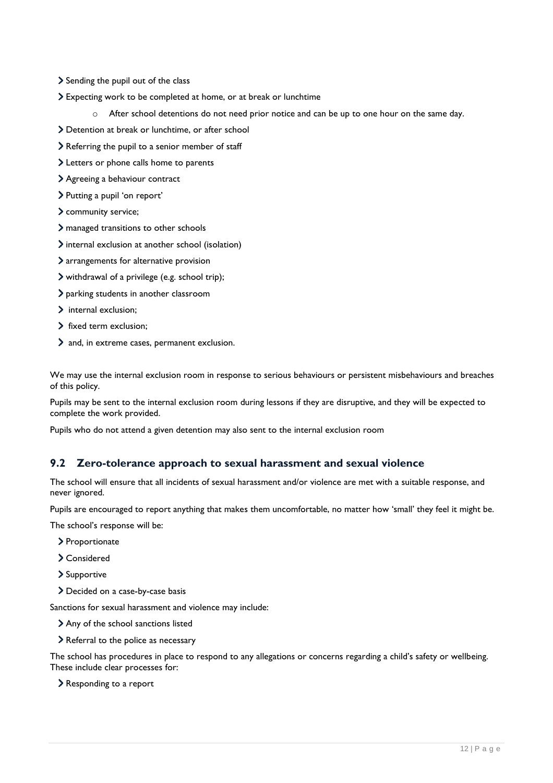- Sending the pupil out of the class
- Expecting work to be completed at home, or at break or lunchtime
	- $\circ$  After school detentions do not need prior notice and can be up to one hour on the same day.
- Detention at break or lunchtime, or after school
- Referring the pupil to a senior member of staff
- Letters or phone calls home to parents
- Agreeing a behaviour contract
- > Putting a pupil 'on report'
- community service;
- managed transitions to other schools
- internal exclusion at another school (isolation)
- arrangements for alternative provision
- withdrawal of a privilege (e.g. school trip);
- parking students in another classroom
- > internal exclusion;
- > fixed term exclusion:
- and, in extreme cases, permanent exclusion.

We may use the internal exclusion room in response to serious behaviours or persistent misbehaviours and breaches of this policy.

Pupils may be sent to the internal exclusion room during lessons if they are disruptive, and they will be expected to complete the work provided.

Pupils who do not attend a given detention may also sent to the internal exclusion room

#### **9.2 Zero-tolerance approach to sexual harassment and sexual violence**

The school will ensure that all incidents of sexual harassment and/or violence are met with a suitable response, and never ignored.

Pupils are encouraged to report anything that makes them uncomfortable, no matter how 'small' they feel it might be.

The school's response will be:

- > Proportionate
- Considered
- > Supportive
- > Decided on a case-by-case basis

Sanctions for sexual harassment and violence may include:

- Any of the school sanctions listed
- > Referral to the police as necessary

The school has procedures in place to respond to any allegations or concerns regarding a child's safety or wellbeing. These include clear processes for:

Responding to a report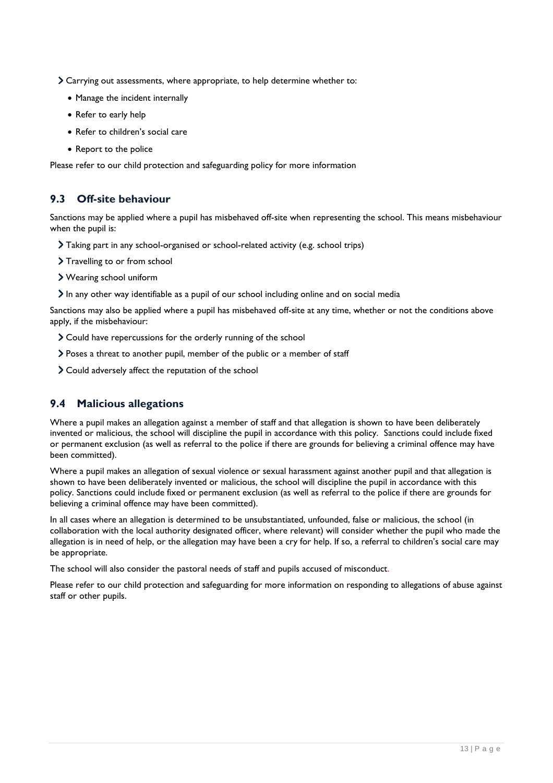- Carrying out assessments, where appropriate, to help determine whether to:
	- Manage the incident internally
	- Refer to early help
	- Refer to children's social care
	- Report to the police

Please refer to our child protection and safeguarding policy for more information

#### **9.3 Off-site behaviour**

Sanctions may be applied where a pupil has misbehaved off-site when representing the school. This means misbehaviour when the pupil is:

- Taking part in any school-organised or school-related activity (e.g. school trips)
- > Travelling to or from school
- Wearing school uniform
- $\sum$  In any other way identifiable as a pupil of our school including online and on social media

Sanctions may also be applied where a pupil has misbehaved off-site at any time, whether or not the conditions above apply, if the misbehaviour:

- Could have repercussions for the orderly running of the school
- Poses a threat to another pupil, member of the public or a member of staff
- Could adversely affect the reputation of the school

#### **9.4 Malicious allegations**

Where a pupil makes an allegation against a member of staff and that allegation is shown to have been deliberately invented or malicious, the school will discipline the pupil in accordance with this policy. Sanctions could include fixed or permanent exclusion (as well as referral to the police if there are grounds for believing a criminal offence may have been committed).

Where a pupil makes an allegation of sexual violence or sexual harassment against another pupil and that allegation is shown to have been deliberately invented or malicious, the school will discipline the pupil in accordance with this policy. Sanctions could include fixed or permanent exclusion (as well as referral to the police if there are grounds for believing a criminal offence may have been committed).

In all cases where an allegation is determined to be unsubstantiated, unfounded, false or malicious, the school (in collaboration with the local authority designated officer, where relevant) will consider whether the pupil who made the allegation is in need of help, or the allegation may have been a cry for help. If so, a referral to children's social care may be appropriate.

The school will also consider the pastoral needs of staff and pupils accused of misconduct.

Please refer to our child protection and safeguarding for more information on responding to allegations of abuse against staff or other pupils.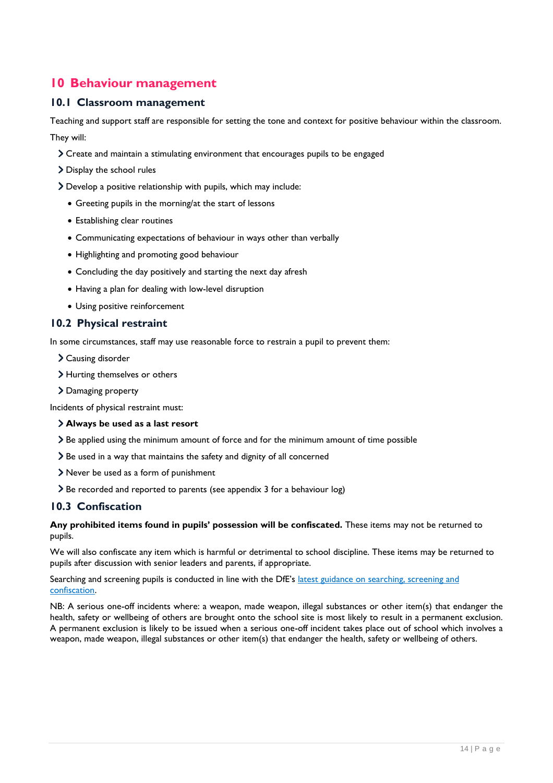# **10 Behaviour management**

#### **10.1 Classroom management**

Teaching and support staff are responsible for setting the tone and context for positive behaviour within the classroom. They will:

- Create and maintain a stimulating environment that encourages pupils to be engaged
- > Display the school rules
- Develop a positive relationship with pupils, which may include:
	- Greeting pupils in the morning/at the start of lessons
	- Establishing clear routines
	- Communicating expectations of behaviour in ways other than verbally
	- Highlighting and promoting good behaviour
	- Concluding the day positively and starting the next day afresh
	- Having a plan for dealing with low-level disruption
	- Using positive reinforcement

#### **10.2 Physical restraint**

In some circumstances, staff may use reasonable force to restrain a pupil to prevent them:

- Causing disorder
- > Hurting themselves or others
- > Damaging property

Incidents of physical restraint must:

#### **Always be used as a last resort**

- Be applied using the minimum amount of force and for the minimum amount of time possible
- Be used in a way that maintains the safety and dignity of all concerned
- Never be used as a form of punishment
- Be recorded and reported to parents (see appendix 3 for a behaviour log)

#### **10.3 Confiscation**

**Any prohibited items found in pupils' possession will be confiscated.** These items may not be returned to pupils.

We will also confiscate any item which is harmful or detrimental to school discipline. These items may be returned to pupils after discussion with senior leaders and parents, if appropriate.

Searching and screening pupils is conducted in line with the DfE's latest guidance on searching, screening and [confiscation.](https://www.gov.uk/government/publications/searching-screening-and-confiscation)

NB: A serious one-off incidents where: a weapon, made weapon, illegal substances or other item(s) that endanger the health, safety or wellbeing of others are brought onto the school site is most likely to result in a permanent exclusion. A permanent exclusion is likely to be issued when a serious one-off incident takes place out of school which involves a weapon, made weapon, illegal substances or other item(s) that endanger the health, safety or wellbeing of others.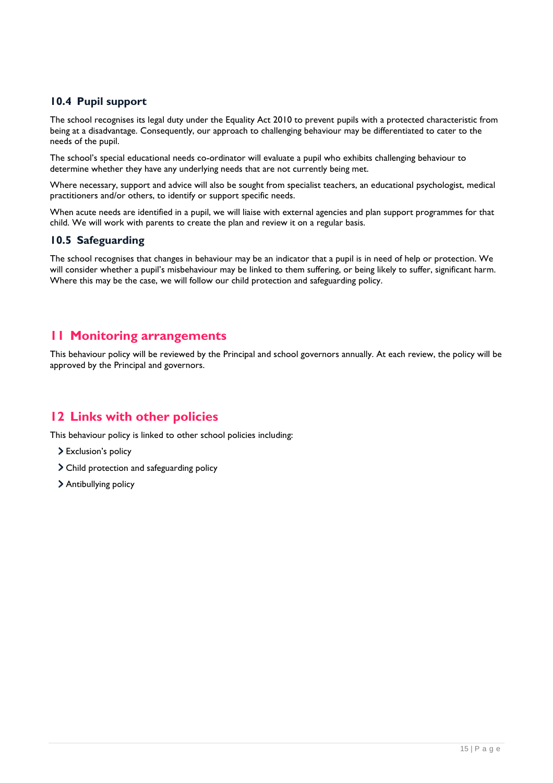#### **10.4 Pupil support**

The school recognises its legal duty under the Equality Act 2010 to prevent pupils with a protected characteristic from being at a disadvantage. Consequently, our approach to challenging behaviour may be differentiated to cater to the needs of the pupil.

The school's special educational needs co-ordinator will evaluate a pupil who exhibits challenging behaviour to determine whether they have any underlying needs that are not currently being met.

Where necessary, support and advice will also be sought from specialist teachers, an educational psychologist, medical practitioners and/or others, to identify or support specific needs.

When acute needs are identified in a pupil, we will liaise with external agencies and plan support programmes for that child. We will work with parents to create the plan and review it on a regular basis.

#### **10.5 Safeguarding**

The school recognises that changes in behaviour may be an indicator that a pupil is in need of help or protection. We will consider whether a pupil's misbehaviour may be linked to them suffering, or being likely to suffer, significant harm. Where this may be the case, we will follow our child protection and safeguarding policy.

#### **11 Monitoring arrangements**

This behaviour policy will be reviewed by the Principal and school governors annually. At each review, the policy will be approved by the Principal and governors.

# **12 Links with other policies**

This behaviour policy is linked to other school policies including:

- > Exclusion's policy
- Child protection and safeguarding policy
- > Antibullying policy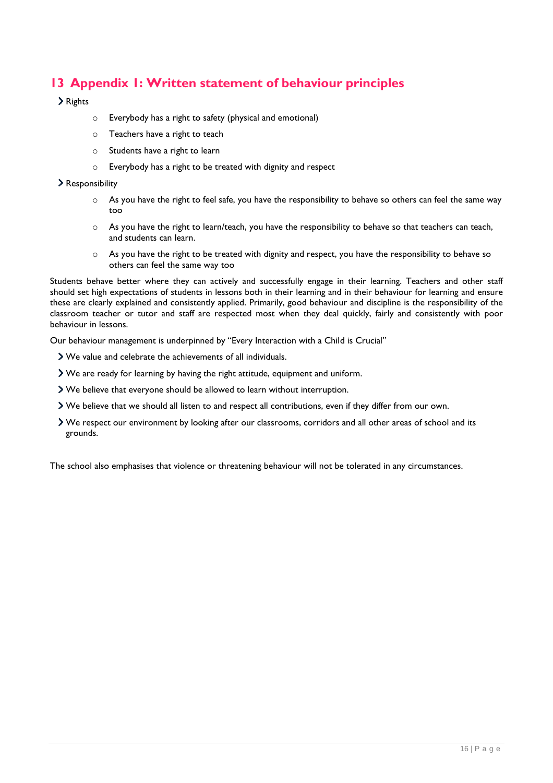# **13 Appendix 1: Written statement of behaviour principles**

#### > Rights

- o Everybody has a right to safety (physical and emotional)
- o Teachers have a right to teach
- o Students have a right to learn
- o Everybody has a right to be treated with dignity and respect

#### Responsibility

- $\circ$  As you have the right to feel safe, you have the responsibility to behave so others can feel the same way too
- o As you have the right to learn/teach, you have the responsibility to behave so that teachers can teach, and students can learn.
- o As you have the right to be treated with dignity and respect, you have the responsibility to behave so others can feel the same way too

Students behave better where they can actively and successfully engage in their learning. Teachers and other staff should set high expectations of students in lessons both in their learning and in their behaviour for learning and ensure these are clearly explained and consistently applied. Primarily, good behaviour and discipline is the responsibility of the classroom teacher or tutor and staff are respected most when they deal quickly, fairly and consistently with poor behaviour in lessons.

Our behaviour management is underpinned by "Every Interaction with a Child is Crucial"

- We value and celebrate the achievements of all individuals.
- We are ready for learning by having the right attitude, equipment and uniform.
- We believe that everyone should be allowed to learn without interruption.
- We believe that we should all listen to and respect all contributions, even if they differ from our own.
- We respect our environment by looking after our classrooms, corridors and all other areas of school and its grounds.

The school also emphasises that violence or threatening behaviour will not be tolerated in any circumstances.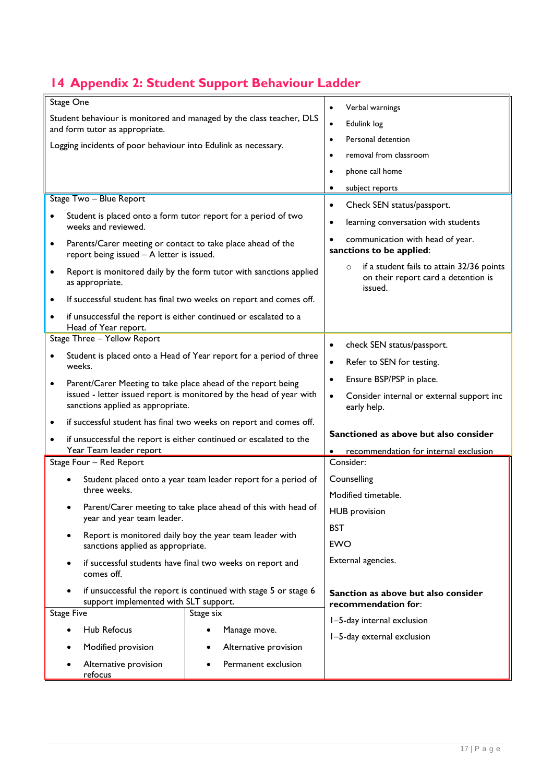# **14 Appendix 2: Student Support Behaviour Ladder**

|                                                                                                          | Stage One                                                                                                |                                                                    | Verbal warnings<br>$\bullet$                                                                           |
|----------------------------------------------------------------------------------------------------------|----------------------------------------------------------------------------------------------------------|--------------------------------------------------------------------|--------------------------------------------------------------------------------------------------------|
| Student behaviour is monitored and managed by the class teacher, DLS<br>and form tutor as appropriate.   |                                                                                                          |                                                                    | Edulink log<br>$\bullet$                                                                               |
| Logging incidents of poor behaviour into Edulink as necessary.                                           |                                                                                                          |                                                                    | Personal detention<br>$\bullet$                                                                        |
|                                                                                                          |                                                                                                          |                                                                    | removal from classroom<br>$\bullet$                                                                    |
|                                                                                                          |                                                                                                          |                                                                    | phone call home<br>$\bullet$                                                                           |
|                                                                                                          |                                                                                                          |                                                                    | subject reports                                                                                        |
|                                                                                                          | Stage Two - Blue Report                                                                                  |                                                                    | Check SEN status/passport.<br>$\bullet$                                                                |
|                                                                                                          | Student is placed onto a form tutor report for a period of two<br>weeks and reviewed.                    |                                                                    | learning conversation with students<br>$\bullet$                                                       |
| ٠                                                                                                        | Parents/Carer meeting or contact to take place ahead of the<br>report being issued - A letter is issued. |                                                                    | communication with head of year.<br>sanctions to be applied:                                           |
| $\bullet$                                                                                                | as appropriate.                                                                                          | Report is monitored daily by the form tutor with sanctions applied | if a student fails to attain 32/36 points<br>$\circ$<br>on their report card a detention is<br>issued. |
| $\bullet$                                                                                                | If successful student has final two weeks on report and comes off.                                       |                                                                    |                                                                                                        |
| $\bullet$                                                                                                | if unsuccessful the report is either continued or escalated to a<br>Head of Year report.                 |                                                                    |                                                                                                        |
| Stage Three - Yellow Report                                                                              |                                                                                                          |                                                                    | check SEN status/passport.<br>$\bullet$                                                                |
| Student is placed onto a Head of Year report for a period of three<br>٠                                  |                                                                                                          |                                                                    | Refer to SEN for testing.<br>$\bullet$                                                                 |
|                                                                                                          | weeks.                                                                                                   |                                                                    |                                                                                                        |
| $\bullet$                                                                                                | Parent/Carer Meeting to take place ahead of the report being                                             |                                                                    | Ensure BSP/PSP in place.<br>$\bullet$                                                                  |
| issued - letter issued report is monitored by the head of year with<br>sanctions applied as appropriate. |                                                                                                          |                                                                    | Consider internal or external support inc<br>$\bullet$<br>early help.                                  |
| ٠                                                                                                        | if successful student has final two weeks on report and comes off.                                       |                                                                    |                                                                                                        |
| if unsuccessful the report is either continued or escalated to the<br>٠                                  |                                                                                                          |                                                                    | Sanctioned as above but also consider                                                                  |
|                                                                                                          | Year Team leader report                                                                                  |                                                                    | recommendation for internal exclusion                                                                  |
| Stage Four - Red Report                                                                                  |                                                                                                          |                                                                    | Consider:                                                                                              |
|                                                                                                          | Student placed onto a year team leader report for a period of                                            |                                                                    | Counselling                                                                                            |
|                                                                                                          | three weeks.                                                                                             |                                                                    | Modified timetable.                                                                                    |
|                                                                                                          | Parent/Carer meeting to take place ahead of this with head of<br>year and year team leader.              |                                                                    | <b>HUB</b> provision                                                                                   |
| Report is monitored daily boy the year team leader with                                                  |                                                                                                          |                                                                    | <b>BST</b>                                                                                             |
|                                                                                                          | sanctions applied as appropriate.                                                                        |                                                                    | <b>EWO</b>                                                                                             |
|                                                                                                          | if successful students have final two weeks on report and<br>comes off.                                  |                                                                    | External agencies.                                                                                     |
| if unsuccessful the report is continued with stage 5 or stage 6<br>support implemented with SLT support. |                                                                                                          |                                                                    | Sanction as above but also consider<br>recommendation for:                                             |
| <b>Stage Five</b>                                                                                        |                                                                                                          | Stage six                                                          | I-5-day internal exclusion                                                                             |
|                                                                                                          | <b>Hub Refocus</b>                                                                                       | Manage move.                                                       | I-5-day external exclusion                                                                             |
|                                                                                                          | Modified provision                                                                                       | Alternative provision<br>٠                                         |                                                                                                        |
|                                                                                                          | Alternative provision<br>refocus                                                                         | Permanent exclusion                                                |                                                                                                        |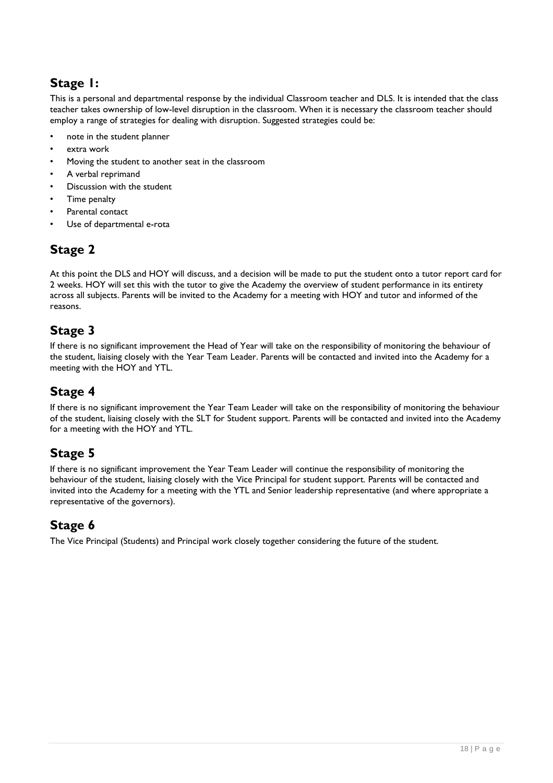# **Stage 1:**

This is a personal and departmental response by the individual Classroom teacher and DLS. It is intended that the class teacher takes ownership of low-level disruption in the classroom. When it is necessary the classroom teacher should employ a range of strategies for dealing with disruption. Suggested strategies could be:

- note in the student planner
- extra work
- Moving the student to another seat in the classroom
- A verbal reprimand
- Discussion with the student
- Time penalty
- Parental contact
- Use of departmental e-rota

# **Stage 2**

At this point the DLS and HOY will discuss, and a decision will be made to put the student onto a tutor report card for 2 weeks. HOY will set this with the tutor to give the Academy the overview of student performance in its entirety across all subjects. Parents will be invited to the Academy for a meeting with HOY and tutor and informed of the reasons.

# **Stage 3**

If there is no significant improvement the Head of Year will take on the responsibility of monitoring the behaviour of the student, liaising closely with the Year Team Leader. Parents will be contacted and invited into the Academy for a meeting with the HOY and YTL.

# **Stage 4**

If there is no significant improvement the Year Team Leader will take on the responsibility of monitoring the behaviour of the student, liaising closely with the SLT for Student support. Parents will be contacted and invited into the Academy for a meeting with the HOY and YTL.

# **Stage 5**

If there is no significant improvement the Year Team Leader will continue the responsibility of monitoring the behaviour of the student, liaising closely with the Vice Principal for student support. Parents will be contacted and invited into the Academy for a meeting with the YTL and Senior leadership representative (and where appropriate a representative of the governors).

# **Stage 6**

The Vice Principal (Students) and Principal work closely together considering the future of the student.